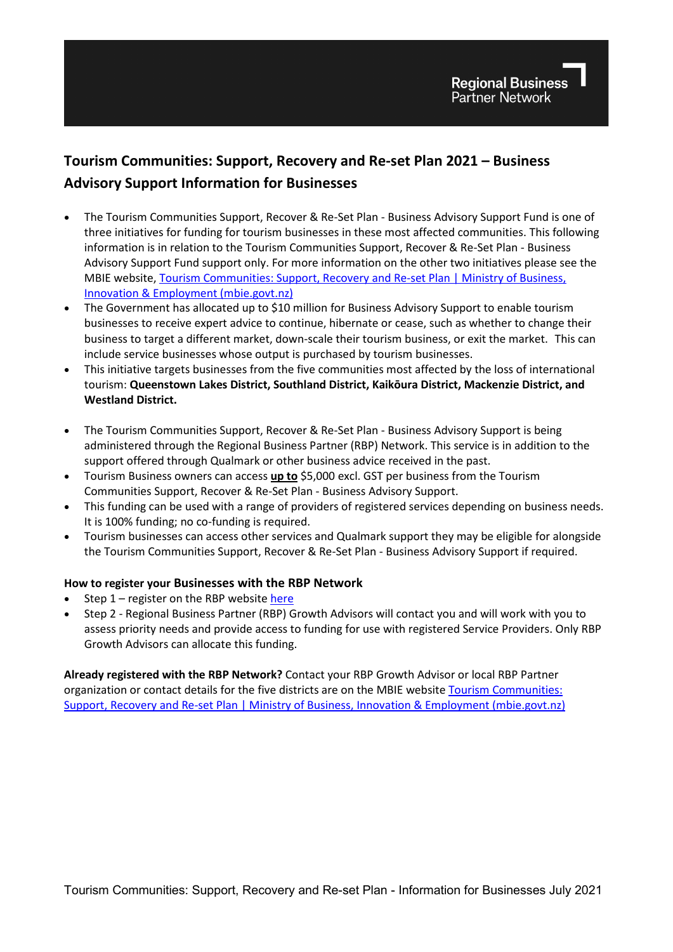# **Tourism Communities: Support, Recovery and Re-set Plan 2021 – Business Advisory Support Information for Businesses**

- The Tourism Communities Support, Recover & Re-Set Plan Business Advisory Support Fund is one of three initiatives for funding for tourism businesses in these most affected communities. This following information is in relation to the Tourism Communities Support, Recover & Re-Set Plan - Business Advisory Support Fund support only. For more information on the other two initiatives please see the MBIE website, Tourism Communities: Support, Recovery and Re-set Plan | Ministry of Business, [Innovation & Employment \(mbie.govt.nz\)](https://www.mbie.govt.nz/immigration-and-tourism/tourism/tourism-recovery/tourism-communities-support-recovery-and-re-set-plan/)
- The Government has allocated up to \$10 million for Business Advisory Support to enable tourism businesses to receive expert advice to continue, hibernate or cease, such as whether to change their business to target a different market, down-scale their tourism business, or exit the market. This can include service businesses whose output is purchased by tourism businesses.
- This initiative targets businesses from the five communities most affected by the loss of international tourism: **Queenstown Lakes District, Southland District, Kaikōura District, Mackenzie District, and Westland District.**
- The Tourism Communities Support, Recover & Re-Set Plan Business Advisory Support is being administered through the Regional Business Partner (RBP) Network. This service is in addition to the support offered through Qualmark or other business advice received in the past.
- Tourism Business owners can access **up to** \$5,000 excl. GST per business from the Tourism Communities Support, Recover & Re-Set Plan - Business Advisory Support.
- This funding can be used with a range of providers of registered services depending on business needs. It is 100% funding; no co-funding is required.
- Tourism businesses can access other services and Qualmark support they may be eligible for alongside the Tourism Communities Support, Recover & Re-Set Plan - Business Advisory Support if required.

#### **How to register your Businesses with the RBP Network**

- Step 1 register on the RBP website [here](https://web.regionalbusinesspartners.co.nz/business/)
- Step 2 Regional Business Partner (RBP) Growth Advisors will contact you and will work with you to assess priority needs and provide access to funding for use with registered Service Providers. Only RBP Growth Advisors can allocate this funding.

**Already registered with the RBP Network?** Contact your RBP Growth Advisor or local RBP Partner organization or contact details for the five districts are on the MBIE website [Tourism Communities:](https://www.mbie.govt.nz/immigration-and-tourism/tourism/tourism-recovery/tourism-communities-support-recovery-and-re-set-plan/)  [Support, Recovery and Re-set Plan | Ministry of Business, Innovation & Employment \(mbie.govt.nz\)](https://www.mbie.govt.nz/immigration-and-tourism/tourism/tourism-recovery/tourism-communities-support-recovery-and-re-set-plan/)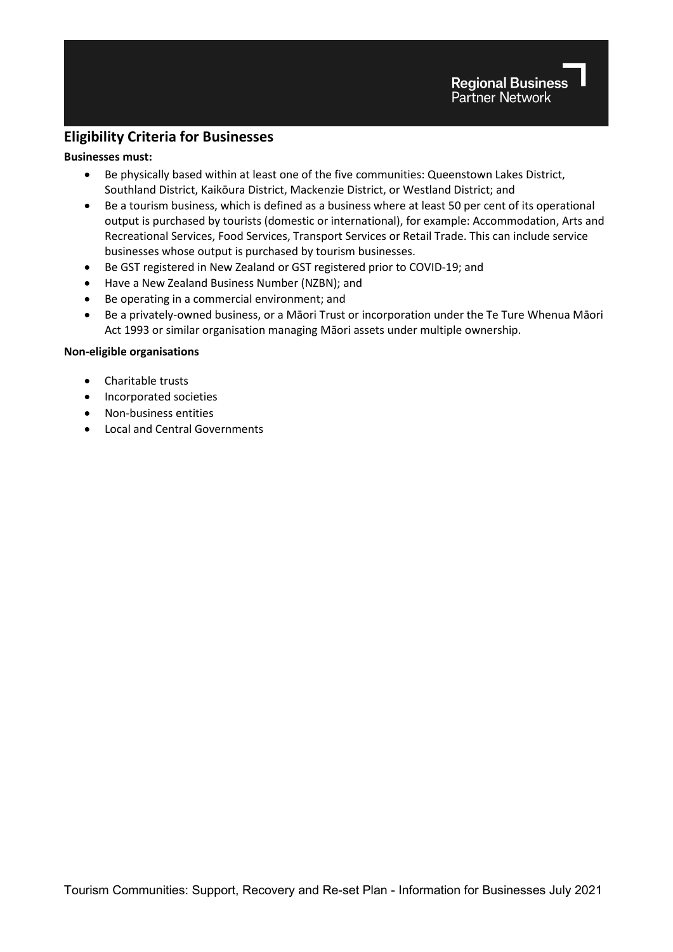### **Eligibility Criteria for Businesses**

#### **Businesses must:**

- Be physically based within at least one of the five communities: Queenstown Lakes District, Southland District, Kaikōura District, Mackenzie District, or Westland District; and
- Be a tourism business, which is defined as a business where at least 50 per cent of its operational output is purchased by tourists (domestic or international), for example: Accommodation, Arts and Recreational Services, Food Services, Transport Services or Retail Trade. This can include service businesses whose output is purchased by tourism businesses.
- Be GST registered in New Zealand or GST registered prior to COVID-19; and
- Have a New Zealand Business Number (NZBN); and
- Be operating in a commercial environment; and
- Be a privately-owned business, or a Māori Trust or incorporation under the Te Ture Whenua Māori Act 1993 or similar organisation managing Māori assets under multiple ownership.

#### **Non-eligible organisations**

- Charitable trusts
- Incorporated societies
- Non-business entities
- Local and Central Governments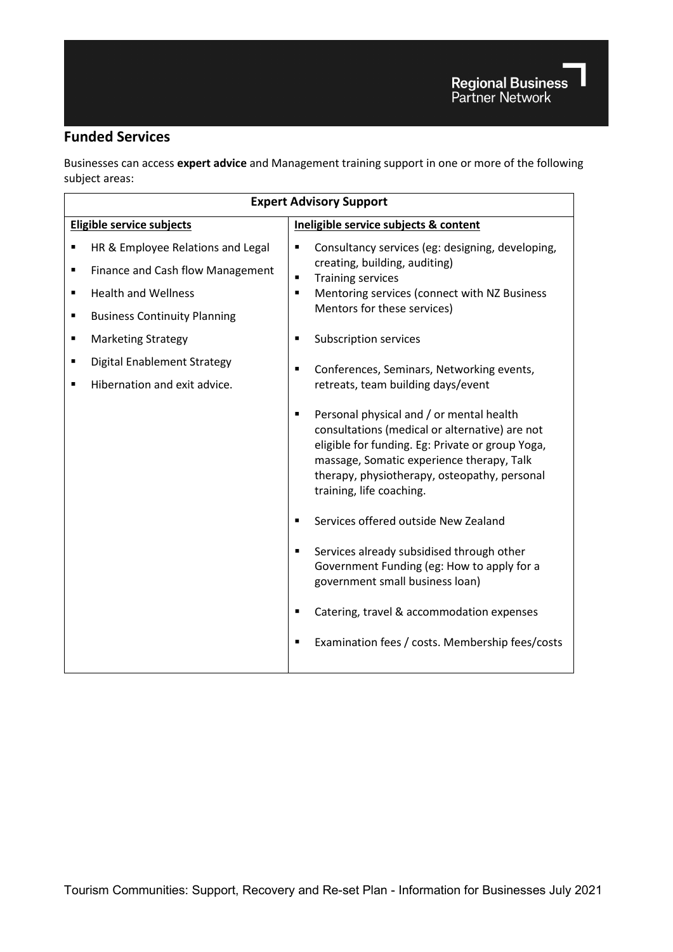## **Funded Services**

Businesses can access **expert advice** and Management training support in one or more of the following subject areas:

| <b>Expert Advisory Support</b>                                                                                                                                                                                                                      |                                                                                                                                                                                                                                                                                                                       |  |  |
|-----------------------------------------------------------------------------------------------------------------------------------------------------------------------------------------------------------------------------------------------------|-----------------------------------------------------------------------------------------------------------------------------------------------------------------------------------------------------------------------------------------------------------------------------------------------------------------------|--|--|
| Eligible service subjects                                                                                                                                                                                                                           | Ineligible service subjects & content                                                                                                                                                                                                                                                                                 |  |  |
| HR & Employee Relations and Legal<br>Finance and Cash flow Management<br>п<br><b>Health and Wellness</b><br>$\blacksquare$<br><b>Business Continuity Planning</b><br>٠<br><b>Marketing Strategy</b><br>٠<br><b>Digital Enablement Strategy</b><br>п | Consultancy services (eg: designing, developing,<br>٠<br>creating, building, auditing)<br><b>Training services</b><br>$\blacksquare$<br>Mentoring services (connect with NZ Business<br>$\blacksquare$<br>Mentors for these services)<br>Subscription services<br>٠<br>Conferences, Seminars, Networking events,<br>٠ |  |  |
| Hibernation and exit advice.<br>п                                                                                                                                                                                                                   | retreats, team building days/event<br>Personal physical and / or mental health<br>٠<br>consultations (medical or alternative) are not<br>eligible for funding. Eg: Private or group Yoga,<br>massage, Somatic experience therapy, Talk<br>therapy, physiotherapy, osteopathy, personal<br>training, life coaching.    |  |  |
|                                                                                                                                                                                                                                                     | Services offered outside New Zealand<br>$\blacksquare$<br>Services already subsidised through other<br>٠<br>Government Funding (eg: How to apply for a<br>government small business loan)<br>Catering, travel & accommodation expenses                                                                                |  |  |
|                                                                                                                                                                                                                                                     | Examination fees / costs. Membership fees/costs                                                                                                                                                                                                                                                                       |  |  |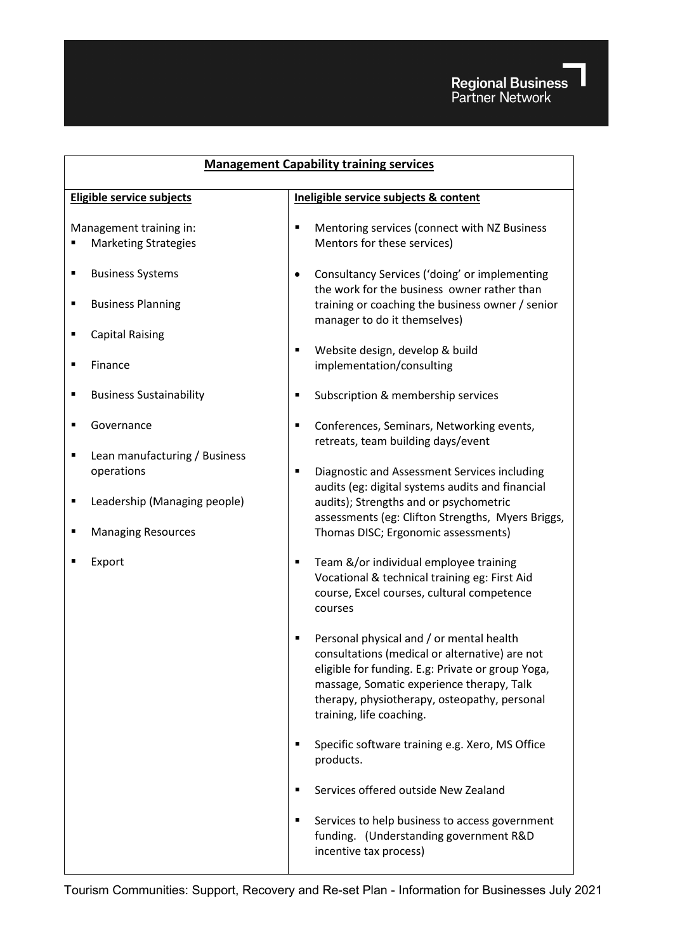

| <b>Management Capability training services</b>                 |                                                                                                                                                                                                                                                                               |  |  |
|----------------------------------------------------------------|-------------------------------------------------------------------------------------------------------------------------------------------------------------------------------------------------------------------------------------------------------------------------------|--|--|
| <b>Eligible service subjects</b>                               | Ineligible service subjects & content                                                                                                                                                                                                                                         |  |  |
| Management training in:<br><b>Marketing Strategies</b>         | Mentoring services (connect with NZ Business<br>٠<br>Mentors for these services)                                                                                                                                                                                              |  |  |
| <b>Business Systems</b><br>Ξ<br><b>Business Planning</b>       | Consultancy Services ('doing' or implementing<br>$\bullet$<br>the work for the business owner rather than<br>training or coaching the business owner / senior                                                                                                                 |  |  |
| <b>Capital Raising</b><br>Finance<br>П                         | manager to do it themselves)<br>Website design, develop & build<br>٠<br>implementation/consulting                                                                                                                                                                             |  |  |
| <b>Business Sustainability</b><br>п                            | Subscription & membership services<br>٠                                                                                                                                                                                                                                       |  |  |
| Governance                                                     | Conferences, Seminars, Networking events,<br>٠<br>retreats, team building days/event                                                                                                                                                                                          |  |  |
| Lean manufacturing / Business<br>operations                    | Diagnostic and Assessment Services including<br>٠<br>audits (eg: digital systems audits and financial                                                                                                                                                                         |  |  |
| Leadership (Managing people)<br>п<br><b>Managing Resources</b> | audits); Strengths and or psychometric<br>assessments (eg: Clifton Strengths, Myers Briggs,<br>Thomas DISC; Ergonomic assessments)                                                                                                                                            |  |  |
| Export                                                         | Team &/or individual employee training<br>٠<br>Vocational & technical training eg: First Aid<br>course, Excel courses, cultural competence<br>courses                                                                                                                         |  |  |
|                                                                | Personal physical and / or mental health<br>٠<br>consultations (medical or alternative) are not<br>eligible for funding. E.g: Private or group Yoga,<br>massage, Somatic experience therapy, Talk<br>therapy, physiotherapy, osteopathy, personal<br>training, life coaching. |  |  |
|                                                                | Specific software training e.g. Xero, MS Office<br>products.                                                                                                                                                                                                                  |  |  |
|                                                                | Services offered outside New Zealand<br>٠                                                                                                                                                                                                                                     |  |  |
|                                                                | Services to help business to access government<br>п<br>funding. (Understanding government R&D<br>incentive tax process)                                                                                                                                                       |  |  |